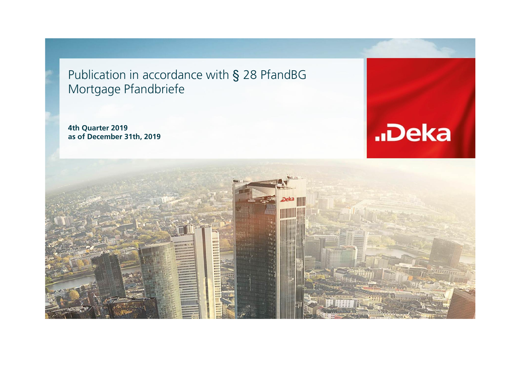Publication in accordance with § 28 PfandBG Mortgage Pfandbriefe

**4th Quarter 2019 as of December 31th, 2019**



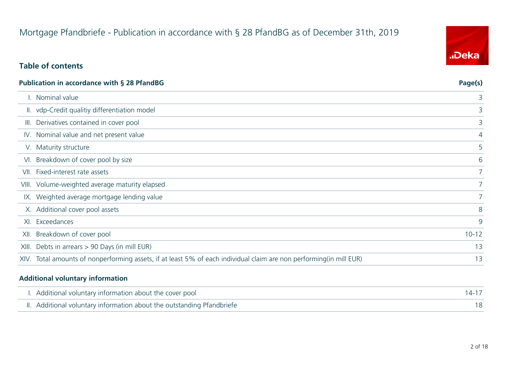# Mortgage Pfandbriefe - Publication in accordance with § 28 PfandBG as of December 31th, 2019

#### **Table of contents**

| Page(s)                                                                                                                                                                                                                                                                                                                                                                                                                                                                                                                                                                                                                                                                     |
|-----------------------------------------------------------------------------------------------------------------------------------------------------------------------------------------------------------------------------------------------------------------------------------------------------------------------------------------------------------------------------------------------------------------------------------------------------------------------------------------------------------------------------------------------------------------------------------------------------------------------------------------------------------------------------|
| 3                                                                                                                                                                                                                                                                                                                                                                                                                                                                                                                                                                                                                                                                           |
| 3                                                                                                                                                                                                                                                                                                                                                                                                                                                                                                                                                                                                                                                                           |
| 3                                                                                                                                                                                                                                                                                                                                                                                                                                                                                                                                                                                                                                                                           |
| 4                                                                                                                                                                                                                                                                                                                                                                                                                                                                                                                                                                                                                                                                           |
| 5                                                                                                                                                                                                                                                                                                                                                                                                                                                                                                                                                                                                                                                                           |
| 6                                                                                                                                                                                                                                                                                                                                                                                                                                                                                                                                                                                                                                                                           |
| 7 <sup>1</sup>                                                                                                                                                                                                                                                                                                                                                                                                                                                                                                                                                                                                                                                              |
| $7^{\circ}$                                                                                                                                                                                                                                                                                                                                                                                                                                                                                                                                                                                                                                                                 |
| $\overline{7}$                                                                                                                                                                                                                                                                                                                                                                                                                                                                                                                                                                                                                                                              |
| 8                                                                                                                                                                                                                                                                                                                                                                                                                                                                                                                                                                                                                                                                           |
| 9                                                                                                                                                                                                                                                                                                                                                                                                                                                                                                                                                                                                                                                                           |
| $10 - 12$                                                                                                                                                                                                                                                                                                                                                                                                                                                                                                                                                                                                                                                                   |
| 13                                                                                                                                                                                                                                                                                                                                                                                                                                                                                                                                                                                                                                                                          |
| 13                                                                                                                                                                                                                                                                                                                                                                                                                                                                                                                                                                                                                                                                          |
| Publication in accordance with § 28 PfandBG<br>I. Nominal value<br>II. vdp-Credit qualitiy differentiation model<br>III. Derivatives contained in cover pool<br>IV. Nominal value and net present value<br>V. Maturity structure<br>VI. Breakdown of cover pool by size<br>VII. Fixed-interest rate assets<br>VIII. Volume-weighted average maturity elapsed<br>IX. Weighted average mortgage lending value<br>X. Additional cover pool assets<br>XI. Exceedances<br>XII. Breakdown of cover pool<br>XIII. Debts in arrears > 90 Days (in mill EUR)<br>XIV. Total amounts of nonperforming assets, if at least 5% of each individual claim are non performing (in mill EUR) |

#### **Additional voluntary information**

| I. Additional voluntary information about the cover pool               |  |
|------------------------------------------------------------------------|--|
| II. Additional voluntary information about the outstanding Pfandbriefe |  |

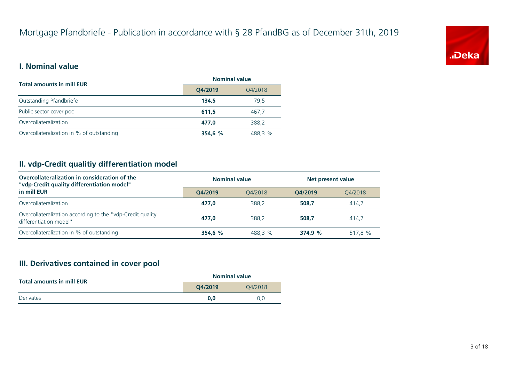

#### **I. Nominal value**

| <b>Total amounts in mill EUR</b>          | <b>Nominal value</b> |         |  |
|-------------------------------------------|----------------------|---------|--|
|                                           | Q4/2019<br>Q4/2018   |         |  |
| Outstanding Pfandbriefe                   | 134.5                | 79.5    |  |
| Public sector cover pool                  | 611.5                | 467.7   |  |
| Overcollateralization                     | 477.0                | 388,2   |  |
| Overcollateralization in % of outstanding | 354,6 %              | 488,3 % |  |

#### **II. vdp-Credit qualitiy differentiation model**

| Overcollateralization in consideration of the<br>"vdp-Credit quality differentiation model" | <b>Nominal value</b> |         |         | Net present value |  |
|---------------------------------------------------------------------------------------------|----------------------|---------|---------|-------------------|--|
| in mill EUR                                                                                 | O4/2019              | 04/2018 | O4/2019 | 04/2018           |  |
| Overcollateralization                                                                       | 477.0                | 388.2   | 508.7   | 414.7             |  |
| Overcollateralization according to the "vdp-Credit quality"<br>differentiation model"       | 477.0                | 388.2   | 508.7   | 414.7             |  |
| Overcollateralization in % of outstanding                                                   | 354.6 %              | 488.3 % | 374.9%  | 517.8 %           |  |

#### **III. Derivatives contained in cover pool**

| <b>Total amounts in mill EUR</b> | <b>Nominal value</b> |     |  |  |
|----------------------------------|----------------------|-----|--|--|
|                                  | O4/2019<br>04/2018   |     |  |  |
| Derivates                        | 0.0                  | 0.0 |  |  |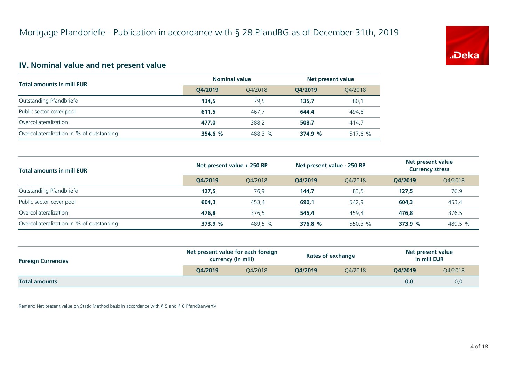

#### **IV. Nominal value and net present value**

| <b>Total amounts in mill EUR</b>          | <b>Nominal value</b> |         | Net present value |         |
|-------------------------------------------|----------------------|---------|-------------------|---------|
|                                           | O4/2019              | O4/2018 | O4/2019           | Q4/2018 |
| Outstanding Pfandbriefe                   | 134,5                | 79,5    | 135.7             | 80,1    |
| Public sector cover pool                  | 611,5                | 467.7   | 644.4             | 494,8   |
| Overcollateralization                     | 477.0                | 388.2   | 508,7             | 414.7   |
| Overcollateralization in % of outstanding | 354,6 %              | 488,3 % | 374,9 %           | 517,8 % |

| <b>Total amounts in mill EUR</b>          | Net present value + 250 BP |         | Net present value - 250 BP |         | Net present value<br><b>Currency stress</b> |         |
|-------------------------------------------|----------------------------|---------|----------------------------|---------|---------------------------------------------|---------|
|                                           | O4/2019                    | 04/2018 | O4/2019                    | 04/2018 | O4/2019                                     | Q4/2018 |
| Outstanding Pfandbriefe                   | 127,5                      | 76,9    | 144,7                      | 83,5    | 127,5                                       | 76,9    |
| Public sector cover pool                  | 604.3                      | 453.4   | 690,1                      | 542.9   | 604.3                                       | 453,4   |
| Overcollateralization                     | 476.8                      | 376.5   | 545,4                      | 459.4   | 476.8                                       | 376,5   |
| Overcollateralization in % of outstanding | 373,9 %                    | 489,5 % | 376,8 %                    | 550,3 % | 373,9 %                                     | 489,5 % |

| <b>Foreign Currencies</b> | Net present value for each foreign<br>currency (in mill) |         | Rates of exchange |         | Net present value<br>in mill EUR |         |
|---------------------------|----------------------------------------------------------|---------|-------------------|---------|----------------------------------|---------|
|                           | O4/2019                                                  | O4/2018 | O4/2019           | 04/2018 | O4/2019                          | Q4/2018 |
| <b>Total amounts</b>      |                                                          |         |                   |         | 0,0                              | 0,0     |

Remark: Net present value on Static Method basis in accordance with § 5 and § 6 PfandBarwertV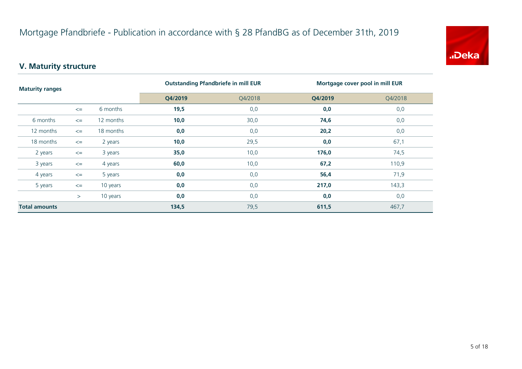

# **V. Maturity structure**

| <b>Maturity ranges</b> |        | <b>Outstanding Pfandbriefe in mill EUR</b> |         | Mortgage cover pool in mill EUR |         |         |
|------------------------|--------|--------------------------------------------|---------|---------------------------------|---------|---------|
|                        |        |                                            | Q4/2019 | Q4/2018                         | Q4/2019 | Q4/2018 |
|                        | $\leq$ | 6 months                                   | 19,5    | 0,0                             | 0,0     | 0,0     |
| 6 months               | $\leq$ | 12 months                                  | 10,0    | 30,0                            | 74,6    | 0,0     |
| 12 months              | $\leq$ | 18 months                                  | 0,0     | 0,0                             | 20,2    | 0,0     |
| 18 months              | $\leq$ | 2 years                                    | 10,0    | 29,5                            | 0,0     | 67,1    |
| 2 years                | $\leq$ | 3 years                                    | 35,0    | 10,0                            | 176,0   | 74,5    |
| 3 years                | $\leq$ | 4 years                                    | 60,0    | 10,0                            | 67,2    | 110,9   |
| 4 years                | $\leq$ | 5 years                                    | 0,0     | 0,0                             | 56,4    | 71,9    |
| 5 years                | $\leq$ | 10 years                                   | 0,0     | 0,0                             | 217,0   | 143,3   |
|                        | $\geq$ | 10 years                                   | 0,0     | 0,0                             | 0,0     | 0,0     |
| <b>Total amounts</b>   |        |                                            | 134,5   | 79,5                            | 611,5   | 467,7   |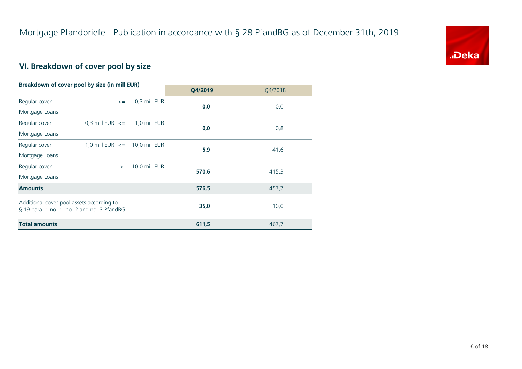

# **VI. Breakdown of cover pool by size**

|                                             | Breakdown of cover pool by size (in mill EUR) |               |         |         |
|---------------------------------------------|-----------------------------------------------|---------------|---------|---------|
|                                             |                                               |               | Q4/2019 | Q4/2018 |
| Regular cover                               | $\leq$                                        | 0,3 mill EUR  | 0,0     | 0,0     |
| Mortgage Loans                              |                                               |               |         |         |
| Regular cover                               | 0.3 mill EUR $\leq$                           | 1,0 mill EUR  |         |         |
| Mortgage Loans                              |                                               |               | 0,0     | 0,8     |
| Regular cover                               | 1,0 mill EUR $\leq$ 10,0 mill EUR             |               | 5,9     |         |
| Mortgage Loans                              |                                               |               |         | 41,6    |
| Regular cover                               | $\geq$                                        | 10,0 mill EUR | 570,6   |         |
| Mortgage Loans                              |                                               |               |         | 415,3   |
| <b>Amounts</b>                              |                                               |               | 576,5   | 457,7   |
| Additional cover pool assets according to   |                                               |               | 35,0    |         |
| § 19 para. 1 no. 1, no. 2 and no. 3 PfandBG |                                               |               |         | 10,0    |
| <b>Total amounts</b>                        |                                               |               | 611,5   | 467,7   |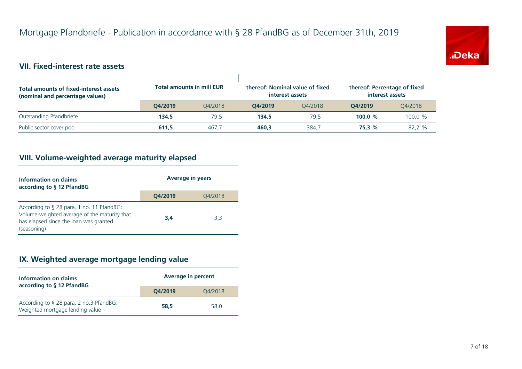

### **VII. Fixed-interest rate assets**

| <b>Total amounts of fixed-interest assets</b><br>(nominal and percentage values) | <b>Total amounts in mill EUR</b> |         | interest assets | thereof: Nominal value of fixed | thereof: Percentage of fixed<br>interest assets |         |
|----------------------------------------------------------------------------------|----------------------------------|---------|-----------------|---------------------------------|-------------------------------------------------|---------|
|                                                                                  | O4/2019                          | 04/2018 | O4/2019         | 04/2018                         | O4/2019                                         | 04/2018 |
| Outstanding Pfandbriefe                                                          | 134,5                            | 79.5    | 134.5           | 79.5                            | 100.0 $%$                                       | 100.0 % |
| Public sector cover pool                                                         | 611.5                            | 467.7   | 460.3           | 384.7                           | 75.3 %                                          | 82.2 %  |

# **VIII. Volume-weighted average maturity elapsed**

| Information on claims<br>according to § 12 PfandBG                                                                                                 | <b>Average in years</b> |         |  |
|----------------------------------------------------------------------------------------------------------------------------------------------------|-------------------------|---------|--|
|                                                                                                                                                    | Q4/2019                 | 04/2018 |  |
| According to § 28 para. 1 no. 11 PfandBG:<br>Volume-weighted average of the maturity that<br>has elapsed since the loan was granted<br>(seasoning) | 3.4                     | 3,3     |  |

#### **IX. Weighted average mortgage lending value**

| Information on claims<br>according to § 12 PfandBG                         | <b>Average in percent</b> |         |  |
|----------------------------------------------------------------------------|---------------------------|---------|--|
|                                                                            | O4/2019                   | 04/2018 |  |
| According to § 28 para. 2 no.3 PfandBG:<br>Weighted mortgage lending value | 58.5                      | 58.0    |  |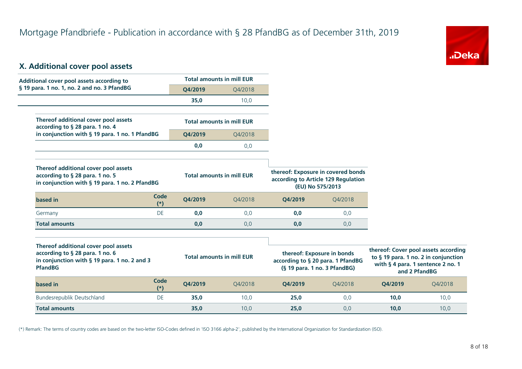

#### **X. Additional cover pool assets**

| Additional cover pool assets according to                                                                                 |               |         | <b>Total amounts in mill EUR</b> |                                    |                                                                                                  |
|---------------------------------------------------------------------------------------------------------------------------|---------------|---------|----------------------------------|------------------------------------|--------------------------------------------------------------------------------------------------|
| § 19 para. 1 no. 1, no. 2 and no. 3 PfandBG                                                                               |               | Q4/2019 | Q4/2018                          |                                    |                                                                                                  |
|                                                                                                                           |               | 35,0    | 10,0                             |                                    |                                                                                                  |
| Thereof additional cover pool assets<br>according to § 28 para. 1 no. 4                                                   |               |         | <b>Total amounts in mill EUR</b> |                                    |                                                                                                  |
| in conjunction with § 19 para. 1 no. 1 PfandBG                                                                            |               | O4/2019 | Q4/2018                          |                                    |                                                                                                  |
|                                                                                                                           |               | 0,0     | 0,0                              |                                    |                                                                                                  |
|                                                                                                                           |               |         |                                  |                                    |                                                                                                  |
| Thereof additional cover pool assets<br>according to § 28 para. 1 no. 5<br>in conjunction with § 19 para. 1 no. 2 PfandBG |               |         | <b>Total amounts in mill EUR</b> | thereof: Exposure in covered bonds | according to Article 129 Regulation<br>(EU) No 575/2013                                          |
| based in                                                                                                                  | Code<br>$(*)$ | O4/2019 | Q4/2018                          | Q4/2019                            | Q4/2018                                                                                          |
| Germany                                                                                                                   | DE            | 0,0     | 0,0                              | 0,0                                | 0,0                                                                                              |
| <b>Total amounts</b>                                                                                                      |               | 0,0     | 0,0                              | 0,0                                | 0,0                                                                                              |
| Thereof additional cover pool assets                                                                                      |               |         |                                  |                                    |                                                                                                  |
| according to § 28 para. 1 no. 6<br>in conjunction with § 19 para. 1 no. 2 and 3<br><b>PfandBG</b>                         |               |         | <b>Total amounts in mill EUR</b> |                                    | thereof: Exposure in bonds<br>according to § 20 para. 1 PfandBG<br>$(S19 para. 1 no. 3 PfandBG)$ |

**thereof: Cover pool assets according to § 19 para. 1 no. 2 in conjunction with § 4 para. 1 sentence 2 no. 1 and 2 PfandBG**

| based in                   | Code<br>(x) | O4/2019 | 04/2018 | O4/2019 | 04/2018 | O4/2019 | Q4/2018 |
|----------------------------|-------------|---------|---------|---------|---------|---------|---------|
| Bundesrepublik Deutschland | DE          | 35,0    | 10.0    | 25,0    | 0.0     | 10,0    | 10,0    |
| <b>Total amounts</b>       |             | 35,0    | 10,0    | 25,0    | 0,0     | 10,0    | 10,0    |

(\*) Remark: The terms of country codes are based on the two-letter ISO-Codes defined in 'ISO 3166 alpha-2', published by the International Organization for Standardization (ISO).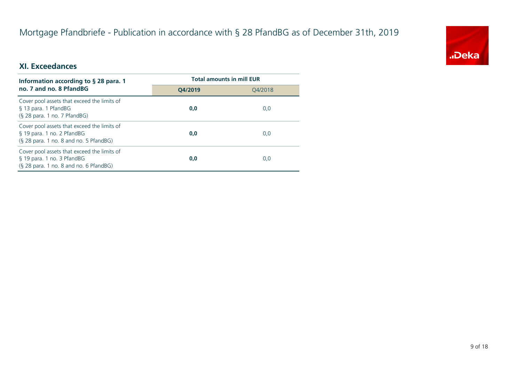# Mortgage Pfandbriefe - Publication in accordance with § 28 PfandBG as of December 31th, 2019



#### **XI. Exceedances**

| Information according to $\S$ 28 para. 1                                                                            | <b>Total amounts in mill EUR</b> |         |  |  |
|---------------------------------------------------------------------------------------------------------------------|----------------------------------|---------|--|--|
| no. 7 and no. 8 PfandBG                                                                                             | O4/2019                          | 04/2018 |  |  |
| Cover pool assets that exceed the limits of<br>§ 13 para. 1 PfandBG<br>$(S, 28)$ para. 1 no. 7 PfandBG)             | 0,0                              | 0,0     |  |  |
| Cover pool assets that exceed the limits of<br>§ 19 para. 1 no. 2 PfandBG<br>(§ 28 para. 1 no. 8 and no. 5 PfandBG) | 0,0                              | 0,0     |  |  |
| Cover pool assets that exceed the limits of<br>§ 19 para. 1 no. 3 PfandBG<br>(§ 28 para. 1 no. 8 and no. 6 PfandBG) | 0,0                              | 0,0     |  |  |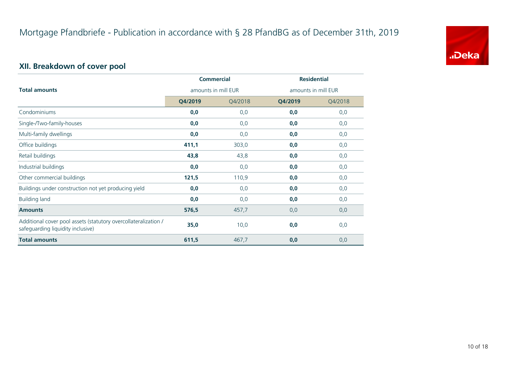

# **XII. Breakdown of cover pool**

|                                                                                                      | <b>Commercial</b>   |         | <b>Residential</b> |                     |
|------------------------------------------------------------------------------------------------------|---------------------|---------|--------------------|---------------------|
| <b>Total amounts</b>                                                                                 | amounts in mill EUR |         |                    | amounts in mill EUR |
|                                                                                                      | Q4/2019             | Q4/2018 | Q4/2019            | Q4/2018             |
| Condominiums                                                                                         | 0,0                 | 0,0     | 0,0                | 0,0                 |
| Single-/Two-family-houses                                                                            | 0,0                 | 0,0     | 0,0                | 0,0                 |
| Multi-family dwellings                                                                               | 0,0                 | 0,0     | 0,0                | 0,0                 |
| Office buildings                                                                                     | 411,1               | 303,0   | 0,0                | 0,0                 |
| Retail buildings                                                                                     | 43,8                | 43,8    | 0,0                | 0,0                 |
| Industrial buildings                                                                                 | 0,0                 | 0,0     | 0,0                | 0,0                 |
| Other commercial buildings                                                                           | 121,5               | 110,9   | 0,0                | 0,0                 |
| Buildings under construction not yet producing yield                                                 | 0,0                 | 0,0     | 0,0                | 0,0                 |
| <b>Building land</b>                                                                                 | 0,0                 | 0,0     | 0,0                | 0,0                 |
| <b>Amounts</b>                                                                                       | 576,5               | 457,7   | 0,0                | 0,0                 |
| Additional cover pool assets (statutory overcollateralization /<br>safeguarding liquidity inclusive) | 35,0                | 10,0    | 0,0                | 0,0                 |
| <b>Total amounts</b>                                                                                 | 611,5               | 467,7   | 0,0                | 0,0                 |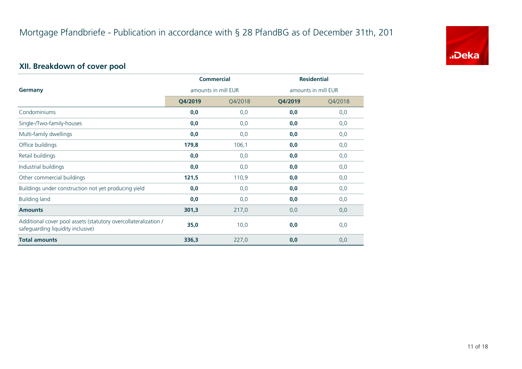

# **XII. Breakdown of cover pool**

|                                                                                                      | <b>Commercial</b><br>amounts in mill EUR |         | <b>Residential</b>  |         |
|------------------------------------------------------------------------------------------------------|------------------------------------------|---------|---------------------|---------|
| <b>Germany</b>                                                                                       |                                          |         | amounts in mill EUR |         |
|                                                                                                      | Q4/2019                                  | Q4/2018 | Q4/2019             | Q4/2018 |
| Condominiums                                                                                         | 0,0                                      | 0,0     | 0,0                 | 0,0     |
| Single-/Two-family-houses                                                                            | 0,0                                      | 0,0     | 0,0                 | 0,0     |
| Multi-family dwellings                                                                               | 0,0                                      | 0,0     | 0,0                 | 0,0     |
| Office buildings                                                                                     | 179,8                                    | 106,1   | 0,0                 | 0,0     |
| Retail buildings                                                                                     | 0,0                                      | 0,0     | 0,0                 | 0,0     |
| Industrial buildings                                                                                 | 0,0                                      | 0,0     | 0,0                 | 0,0     |
| Other commercial buildings                                                                           | 121,5                                    | 110,9   | 0,0                 | 0,0     |
| Buildings under construction not yet producing yield                                                 | 0,0                                      | 0,0     | 0,0                 | 0,0     |
| <b>Building land</b>                                                                                 | 0,0                                      | 0,0     | 0,0                 | 0,0     |
| <b>Amounts</b>                                                                                       | 301,3                                    | 217,0   | 0,0                 | 0,0     |
| Additional cover pool assets (statutory overcollateralization /<br>safeguarding liquidity inclusive) | 35,0                                     | 10,0    | 0,0                 | 0,0     |
| <b>Total amounts</b>                                                                                 | 336,3                                    | 227,0   | 0,0                 | 0,0     |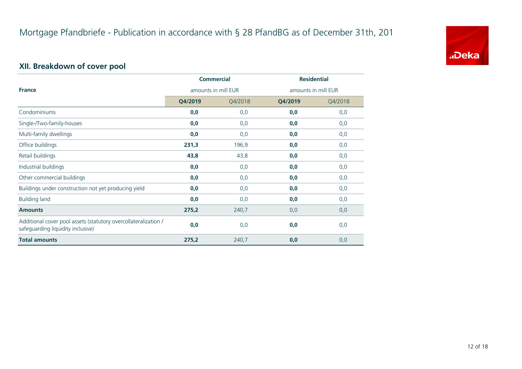

# **XII. Breakdown of cover pool**

|                                                                                                      |                     | <b>Commercial</b> | <b>Residential</b> |                     |
|------------------------------------------------------------------------------------------------------|---------------------|-------------------|--------------------|---------------------|
| <b>France</b>                                                                                        | amounts in mill EUR |                   |                    | amounts in mill EUR |
|                                                                                                      | Q4/2019             | Q4/2018           | Q4/2019            | Q4/2018             |
| Condominiums                                                                                         | 0,0                 | 0,0               | 0,0                | 0,0                 |
| Single-/Two-family-houses                                                                            | 0,0                 | 0,0               | 0,0                | 0,0                 |
| Multi-family dwellings                                                                               | 0,0                 | 0,0               | 0,0                | 0,0                 |
| Office buildings                                                                                     | 231,3               | 196,9             | 0,0                | 0,0                 |
| Retail buildings                                                                                     | 43,8                | 43,8              | 0,0                | 0,0                 |
| Industrial buildings                                                                                 | 0,0                 | 0,0               | 0,0                | 0,0                 |
| Other commercial buildings                                                                           | 0,0                 | 0,0               | 0,0                | 0,0                 |
| Buildings under construction not yet producing yield                                                 | 0,0                 | 0,0               | 0,0                | 0,0                 |
| <b>Building land</b>                                                                                 | 0,0                 | 0,0               | 0,0                | 0,0                 |
| <b>Amounts</b>                                                                                       | 275,2               | 240,7             | 0,0                | 0,0                 |
| Additional cover pool assets (statutory overcollateralization /<br>safeguarding liquidity inclusive) | 0,0                 | 0,0               | 0,0                | 0,0                 |
| <b>Total amounts</b>                                                                                 | 275,2               | 240,7             | 0,0                | 0,0                 |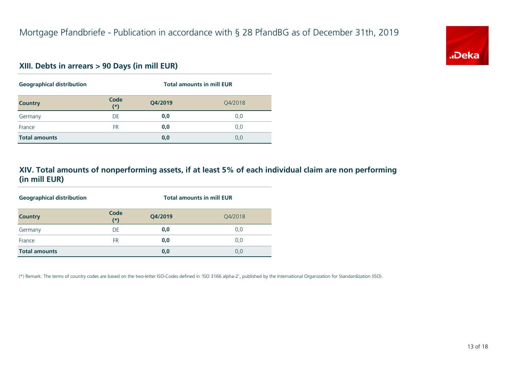

#### **XIII. Debts in arrears > 90 Days (in mill EUR)**

| <b>Geographical distribution</b> |               | <b>Total amounts in mill EUR</b> |         |  |  |
|----------------------------------|---------------|----------------------------------|---------|--|--|
| <b>Country</b>                   | Code<br>$(*)$ | Q4/2019                          | Q4/2018 |  |  |
| Germany                          | DE            | 0,0                              | 0,0     |  |  |
| France                           | FR.           | 0,0                              | 0,0     |  |  |
| <b>Total amounts</b>             |               | 0,0                              | 0,0     |  |  |

#### **XIV. Total amounts of nonperforming assets, if at least 5% of each individual claim are non performing (in mill EUR)**

| <b>Geographical distribution</b> |               | <b>Total amounts in mill EUR</b> |         |  |  |
|----------------------------------|---------------|----------------------------------|---------|--|--|
| <b>Country</b>                   | Code<br>$(*)$ | Q4/2019                          | Q4/2018 |  |  |
| Germany                          | DE            | 0,0                              | 0,0     |  |  |
| France                           | <b>FR</b>     | 0,0                              | 0,0     |  |  |
| <b>Total amounts</b>             |               | 0,0                              | 0,0     |  |  |

(\*) Remark: The terms of country codes are based on the two-letter ISO-Codes defined in 'ISO 3166 alpha-2', published by the International Organization for Standardization (ISO).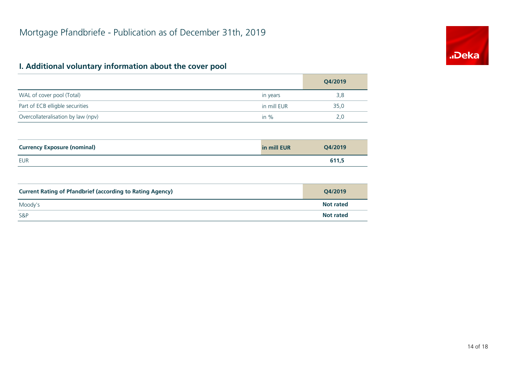# "Deka

#### **I. Additional voluntary information about the cover pool**

S&P

|                                                                  |             | Q4/2019          |
|------------------------------------------------------------------|-------------|------------------|
| WAL of cover pool (Total)                                        | in years    | 3,8              |
| Part of ECB elligble securities                                  | in mill EUR | 35,0             |
| Overcollateralisation by law (npv)                               | in $%$      | 2,0              |
|                                                                  |             |                  |
| <b>Currency Exposure (nominal)</b>                               | in mill EUR | Q4/2019          |
| <b>EUR</b>                                                       |             | 611,5            |
|                                                                  |             |                  |
| <b>Current Rating of Pfandbrief (according to Rating Agency)</b> |             | Q4/2019          |
| Moody's                                                          |             | <b>Not rated</b> |

**Not rated**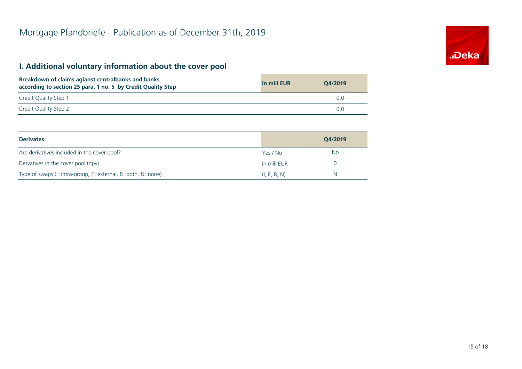# **.Deka**

# **I. Additional voluntary information about the cover pool**

| Breakdown of claims agianst centralbanks and banks<br>according to section 25 para. 1 no. 5 by Credit Quality Step | in mill EUR | O4/2019 |
|--------------------------------------------------------------------------------------------------------------------|-------------|---------|
| Credit Quality Step 1                                                                                              |             |         |
| Credit Quality Step 2                                                                                              |             | 0.0     |

| <b>Derivates</b>                                          |              | O4/2019 |
|-----------------------------------------------------------|--------------|---------|
| Are derivatives included in the cover pool?               | Yes / No     | No.     |
| Dervatives in the cover pool (npv)                        | in mill EUR  |         |
| Type of swaps (I=intra-group, E=external, B=both, N=none) | (I, E, B, N) | N       |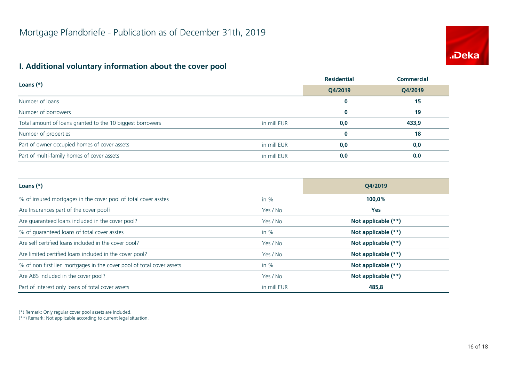

#### **I. Additional voluntary information about the cover pool**

|                                                           | <b>Residential</b> | <b>Commercial</b> |       |
|-----------------------------------------------------------|--------------------|-------------------|-------|
| Loans $(*)$                                               | Q4/2019            | Q4/2019           |       |
| Number of loans                                           |                    | 0                 | 15    |
| Number of borrowers                                       |                    | $\bf{0}$          | 19    |
| Total amount of loans granted to the 10 biggest borrowers | in mill EUR        | 0,0               | 433,9 |
| Number of properties                                      |                    | $\bf{0}$          | 18    |
| Part of owner occupied homes of cover assets              | in mill EUR        | 0,0               | 0,0   |
| Part of multi-family homes of cover assets                | in mill EUR        | 0,0               | 0,0   |

| Loans $(*)$                                                           |             | O4/2019             |
|-----------------------------------------------------------------------|-------------|---------------------|
| % of insured mortgages in the cover pool of total cover asstes        | in $%$      | 100,0%              |
| Are Insurances part of the cover pool?                                | Yes / No    | <b>Yes</b>          |
| Are guaranteed loans included in the cover pool?                      | Yes / No    | Not applicable (**) |
| % of quaranteed loans of total cover asstes                           | in $%$      | Not applicable (**) |
| Are self certified loans included in the cover pool?                  | Yes / No    | Not applicable (**) |
| Are limited certified loans included in the cover pool?               | Yes / No    | Not applicable (**) |
| % of non first lien mortgages in the cover pool of total cover assets | in $%$      | Not applicable (**) |
| Are ABS included in the cover pool?                                   | Yes / No    | Not applicable (**) |
| Part of interest only loans of total cover assets                     | in mill EUR | 485,8               |

(\*) Remark: Only regular cover pool assets are included.

(\*\*) Remark: Not applicable according to current legal situation.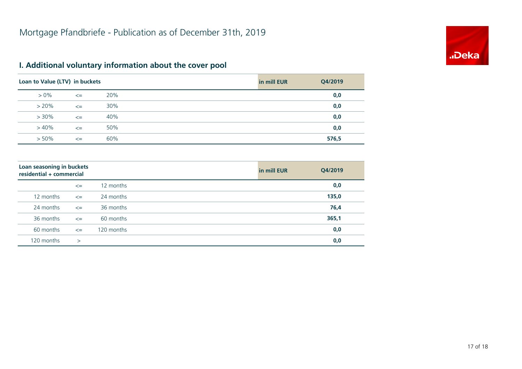

# **I. Additional voluntary information about the cover pool**

| Loan to Value (LTV) in buckets |        |     | in mill EUR | Q4/2019 |
|--------------------------------|--------|-----|-------------|---------|
| $> 0\%$                        | $\leq$ | 20% |             | 0,0     |
| $> 20\%$                       | $\leq$ | 30% |             | 0,0     |
| $> 30\%$                       | $\leq$ | 40% |             | 0,0     |
| $>40\%$                        | $\leq$ | 50% |             | 0,0     |
| $> 50\%$                       | $\leq$ | 60% |             | 576,5   |

| Loan seasoning in buckets<br>residential + commercial |        |            | in mill EUR | Q4/2019 |
|-------------------------------------------------------|--------|------------|-------------|---------|
|                                                       | $\leq$ | 12 months  |             | 0,0     |
| 12 months                                             | $\leq$ | 24 months  |             | 135,0   |
| 24 months                                             | $\leq$ | 36 months  |             | 76,4    |
| 36 months                                             | $\leq$ | 60 months  |             | 365,1   |
| 60 months                                             | $\leq$ | 120 months |             | 0,0     |
| 120 months                                            | $\geq$ |            |             | 0,0     |